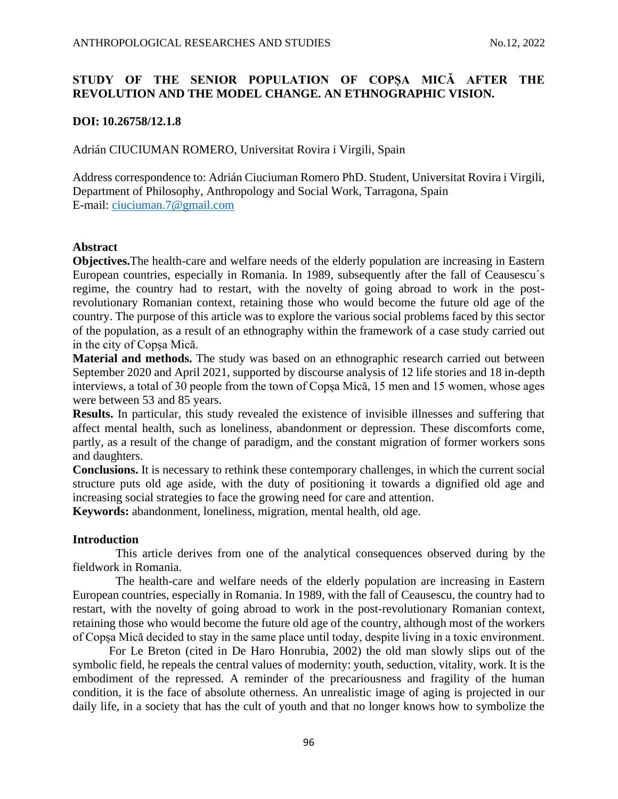# **STUDY OF THE SENIOR POPULATION OF COPȘA MICĂ AFTER THE REVOLUTION AND THE MODEL CHANGE. AN ETHNOGRAPHIC VISION.**

## **DOI: 10.26758/12.1.8**

Adrián CIUCIUMAN ROMERO, Universitat Rovira i Virgili, Spain

Address correspondence to: Adrián Ciuciuman Romero PhD. Student, Universitat Rovira i Virgili, Department of Philosophy, Anthropology and Social Work, Tarragona, Spain E-mail: [ciuciuman.7@gmail.com](mailto:ciuciuman.7@gmail.com)

## **Abstract**

**Objectives.**The health-care and welfare needs of the elderly population are increasing in Eastern European countries, especially in Romania. In 1989, subsequently after the fall of Ceausescu´s regime, the country had to restart, with the novelty of going abroad to work in the postrevolutionary Romanian context, retaining those who would become the future old age of the country. The purpose of this article was to explore the various social problems faced by this sector of the population, as a result of an ethnography within the framework of a case study carried out in the city of Copșa Mică.

**Material and methods.** The study was based on an ethnographic research carried out between September 2020 and April 2021, supported by discourse analysis of 12 life stories and 18 in-depth interviews, a total of 30 people from the town of Copșa Mică, 15 men and 15 women, whose ages were between 53 and 85 years.

**Results.** In particular, this study revealed the existence of invisible illnesses and suffering that affect mental health, such as loneliness, abandonment or depression. These discomforts come, partly, as a result of the change of paradigm, and the constant migration of former workers sons and daughters.

**Conclusions.** It is necessary to rethink these contemporary challenges, in which the current social structure puts old age aside, with the duty of positioning it towards a dignified old age and increasing social strategies to face the growing need for care and attention.

**Keywords:** abandonment, loneliness, migration, mental health, old age.

## **Introduction**

This article derives from one of the analytical consequences observed during by the fieldwork in Romania.

The health-care and welfare needs of the elderly population are increasing in Eastern European countries, especially in Romania. In 1989, with the fall of Ceausescu, the country had to restart, with the novelty of going abroad to work in the post-revolutionary Romanian context, retaining those who would become the future old age of the country, although most of the workers of Copșa Mică decided to stay in the same place until today, despite living in a toxic environment.

For Le Breton (cited in De Haro Honrubia, 2002) the old man slowly slips out of the symbolic field, he repeals the central values of modernity: youth, seduction, vitality, work. It is the embodiment of the repressed. A reminder of the precariousness and fragility of the human condition, it is the face of absolute otherness. An unrealistic image of aging is projected in our daily life, in a society that has the cult of youth and that no longer knows how to symbolize the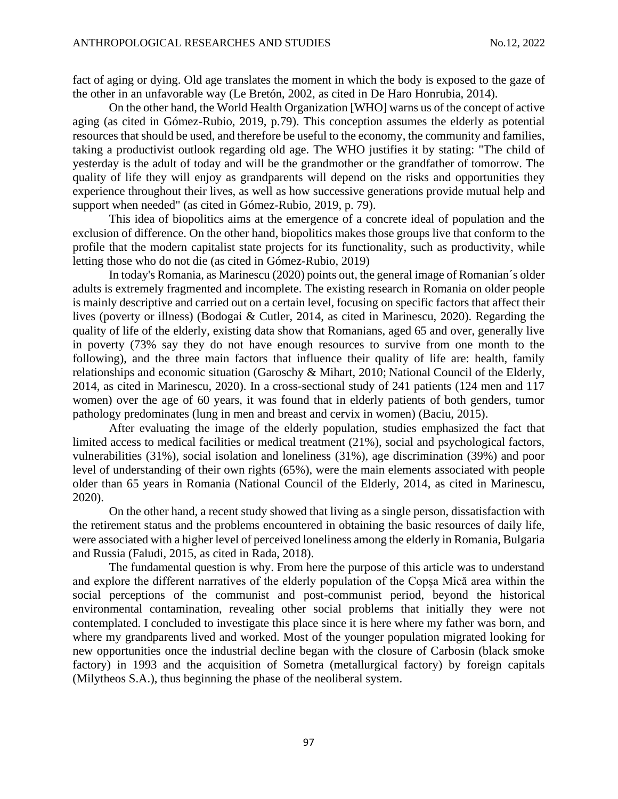fact of aging or dying. Old age translates the moment in which the body is exposed to the gaze of the other in an unfavorable way (Le Bretón, 2002, as cited in De Haro Honrubia, 2014).

On the other hand, the World Health Organization [WHO] warns us of the concept of active aging (as cited in Gómez-Rubio, 2019, p.79). This conception assumes the elderly as potential resources that should be used, and therefore be useful to the economy, the community and families, taking a productivist outlook regarding old age. The WHO justifies it by stating: "The child of yesterday is the adult of today and will be the grandmother or the grandfather of tomorrow. The quality of life they will enjoy as grandparents will depend on the risks and opportunities they experience throughout their lives, as well as how successive generations provide mutual help and support when needed" (as cited in Gómez-Rubio, 2019, p. 79).

This idea of biopolitics aims at the emergence of a concrete ideal of population and the exclusion of difference. On the other hand, biopolitics makes those groups live that conform to the profile that the modern capitalist state projects for its functionality, such as productivity, while letting those who do not die (as cited in Gómez-Rubio, 2019)

In today's Romania, as Marinescu (2020) points out, the general image of Romanian´s older adults is extremely fragmented and incomplete. The existing research in Romania on older people is mainly descriptive and carried out on a certain level, focusing on specific factors that affect their lives (poverty or illness) (Bodogai & Cutler, 2014, as cited in Marinescu, 2020). Regarding the quality of life of the elderly, existing data show that Romanians, aged 65 and over, generally live in poverty (73% say they do not have enough resources to survive from one month to the following), and the three main factors that influence their quality of life are: health, family relationships and economic situation (Garoschy & Mihart, 2010; National Council of the Elderly, 2014, as cited in Marinescu, 2020). In a cross-sectional study of 241 patients (124 men and 117 women) over the age of 60 years, it was found that in elderly patients of both genders, tumor pathology predominates (lung in men and breast and cervix in women) (Baciu, 2015).

After evaluating the image of the elderly population, studies emphasized the fact that limited access to medical facilities or medical treatment (21%), social and psychological factors, vulnerabilities (31%), social isolation and loneliness (31%), age discrimination (39%) and poor level of understanding of their own rights (65%), were the main elements associated with people older than 65 years in Romania (National Council of the Elderly, 2014, as cited in Marinescu, 2020).

On the other hand, a recent study showed that living as a single person, dissatisfaction with the retirement status and the problems encountered in obtaining the basic resources of daily life, were associated with a higher level of perceived loneliness among the elderly in Romania, Bulgaria and Russia (Faludi, 2015, as cited in Rada, 2018).

The fundamental question is why. From here the purpose of this article was to understand and explore the different narratives of the elderly population of the Copșa Mică area within the social perceptions of the communist and post-communist period, beyond the historical environmental contamination, revealing other social problems that initially they were not contemplated. I concluded to investigate this place since it is here where my father was born, and where my grandparents lived and worked. Most of the younger population migrated looking for new opportunities once the industrial decline began with the closure of Carbosin (black smoke factory) in 1993 and the acquisition of Sometra (metallurgical factory) by foreign capitals (Milytheos S.A.), thus beginning the phase of the neoliberal system.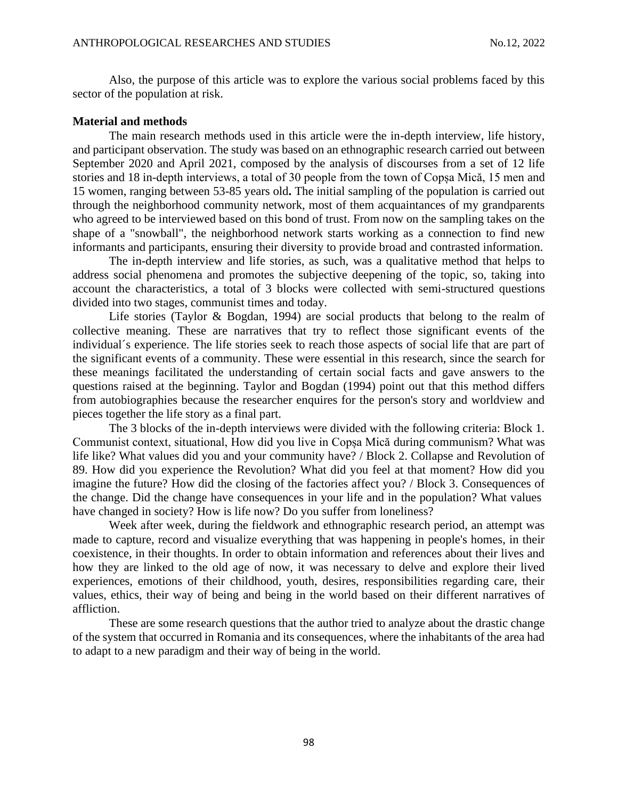Also, the purpose of this article was to explore the various social problems faced by this sector of the population at risk.

#### **Material and methods**

The main research methods used in this article were the in-depth interview, life history, and participant observation. The study was based on an ethnographic research carried out between September 2020 and April 2021, composed by the analysis of discourses from a set of 12 life stories and 18 in-depth interviews, a total of 30 people from the town of Copșa Mică, 15 men and 15 women, ranging between 53-85 years old**.** The initial sampling of the population is carried out through the neighborhood community network, most of them acquaintances of my grandparents who agreed to be interviewed based on this bond of trust. From now on the sampling takes on the shape of a "snowball", the neighborhood network starts working as a connection to find new informants and participants, ensuring their diversity to provide broad and contrasted information.

The in-depth interview and life stories, as such, was a qualitative method that helps to address social phenomena and promotes the subjective deepening of the topic, so, taking into account the characteristics, a total of 3 blocks were collected with semi-structured questions divided into two stages, communist times and today.

Life stories (Taylor & Bogdan, 1994) are social products that belong to the realm of collective meaning. These are narratives that try to reflect those significant events of the individual´s experience. The life stories seek to reach those aspects of social life that are part of the significant events of a community. These were essential in this research, since the search for these meanings facilitated the understanding of certain social facts and gave answers to the questions raised at the beginning. Taylor and Bogdan (1994) point out that this method differs from autobiographies because the researcher enquires for the person's story and worldview and pieces together the life story as a final part.

The 3 blocks of the in-depth interviews were divided with the following criteria: Block 1. Communist context, situational, How did you live in Copșa Mică during communism? What was life like? What values did you and your community have? / Block 2. Collapse and Revolution of 89. How did you experience the Revolution? What did you feel at that moment? How did you imagine the future? How did the closing of the factories affect you? / Block 3. Consequences of the change. Did the change have consequences in your life and in the population? What values have changed in society? How is life now? Do you suffer from loneliness?

Week after week, during the fieldwork and ethnographic research period, an attempt was made to capture, record and visualize everything that was happening in people's homes, in their coexistence, in their thoughts. In order to obtain information and references about their lives and how they are linked to the old age of now, it was necessary to delve and explore their lived experiences, emotions of their childhood, youth, desires, responsibilities regarding care, their values, ethics, their way of being and being in the world based on their different narratives of affliction.

These are some research questions that the author tried to analyze about the drastic change of the system that occurred in Romania and its consequences, where the inhabitants of the area had to adapt to a new paradigm and their way of being in the world.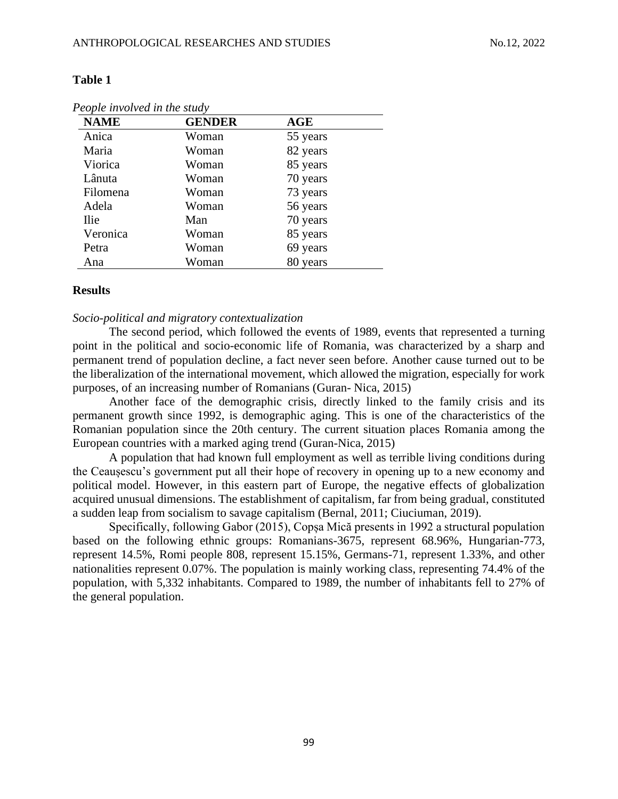#### **Table 1**

| <b>NAME</b> | <b>GENDER</b> | <b>AGE</b> |  |
|-------------|---------------|------------|--|
| Anica       | Woman         | 55 years   |  |
| Maria       | Woman         | 82 years   |  |
| Viorica     | Woman         | 85 years   |  |
| Lânuta      | Woman         | 70 years   |  |
| Filomena    | Woman         | 73 years   |  |
| Adela       | Woman         | 56 years   |  |
| <b>Ilie</b> | Man           | 70 years   |  |
| Veronica    | Woman         | 85 years   |  |
| Petra       | Woman         | 69 years   |  |
| Ana         | Woman         | 80 years   |  |

*People involved in the study*

#### **Results**

### *Socio-political and migratory contextualization*

The second period, which followed the events of 1989, events that represented a turning point in the political and socio-economic life of Romania, was characterized by a sharp and permanent trend of population decline, a fact never seen before. Another cause turned out to be the liberalization of the international movement, which allowed the migration, especially for work purposes, of an increasing number of Romanians (Guran- Nica, 2015)

Another face of the demographic crisis, directly linked to the family crisis and its permanent growth since 1992, is demographic aging. This is one of the characteristics of the Romanian population since the 20th century. The current situation places Romania among the European countries with a marked aging trend (Guran-Nica, 2015)

A population that had known full employment as well as terrible living conditions during the Ceaușescu's government put all their hope of recovery in opening up to a new economy and political model. However, in this eastern part of Europe, the negative effects of globalization acquired unusual dimensions. The establishment of capitalism, far from being gradual, constituted a sudden leap from socialism to savage capitalism (Bernal, 2011; Ciuciuman, 2019).

Specifically, following Gabor (2015), Copșa Mică presents in 1992 a structural population based on the following ethnic groups: Romanians-3675, represent 68.96%, Hungarian-773, represent 14.5%, Romi people 808, represent 15.15%, Germans-71, represent 1.33%, and other nationalities represent 0.07%. The population is mainly working class, representing 74.4% of the population, with 5,332 inhabitants. Compared to 1989, the number of inhabitants fell to 27% of the general population.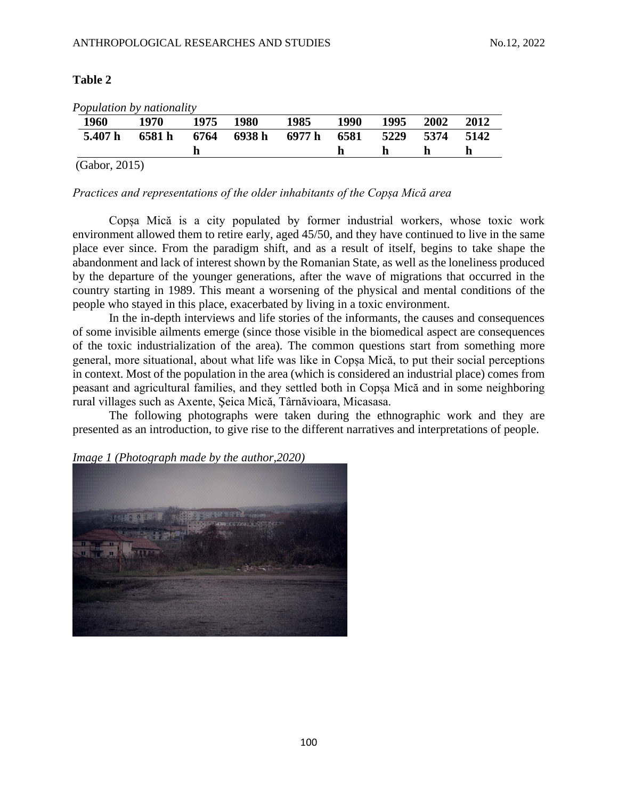## **Table 2**

| <i>L ophilation by nationally</i> |        |      |             |             |      |      |      |      |
|-----------------------------------|--------|------|-------------|-------------|------|------|------|------|
| 1960                              | 1970   | 1975 | <b>1980</b> | 1985        | 1990 | 1995 | 2002 | 2012 |
| 5.407 h                           | 6581 h |      | 6764 6938 h | 6977 h 6581 |      | 5229 | 5374 | 5142 |
|                                   |        |      |             |             |      |      |      | h    |
| (Gabor, 2015)                     |        |      |             |             |      |      |      |      |

*Population by nationality*

## *Practices and representations of the older inhabitants of the Copșa Mică area*

Copșa Mică is a city populated by former industrial workers, whose toxic work environment allowed them to retire early, aged 45/50, and they have continued to live in the same place ever since. From the paradigm shift, and as a result of itself, begins to take shape the abandonment and lack of interest shown by the Romanian State, as well as the loneliness produced by the departure of the younger generations, after the wave of migrations that occurred in the country starting in 1989. This meant a worsening of the physical and mental conditions of the people who stayed in this place, exacerbated by living in a toxic environment.

In the in-depth interviews and life stories of the informants, the causes and consequences of some invisible ailments emerge (since those visible in the biomedical aspect are consequences of the toxic industrialization of the area). The common questions start from something more general, more situational, about what life was like in Copșa Mică, to put their social perceptions in context. Most of the population in the area (which is considered an industrial place) comes from peasant and agricultural families, and they settled both in Copșa Mică and in some neighboring rural villages such as Axente, Şeica Mică, Târnăvioara, Micasasa.

The following photographs were taken during the ethnographic work and they are presented as an introduction, to give rise to the different narratives and interpretations of people.

*Image 1 (Photograph made by the author,2020)*

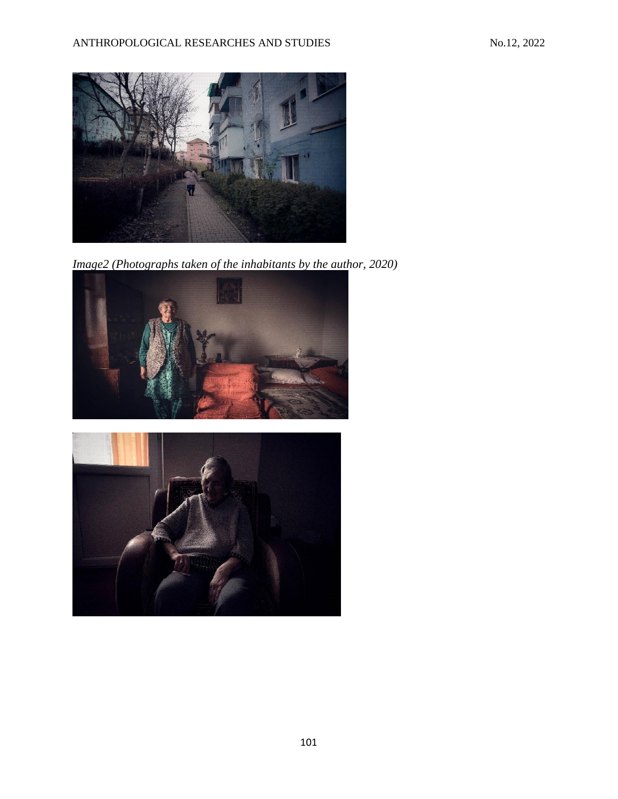

*Image2 (Photographs taken of the inhabitants by the author, 2020)*



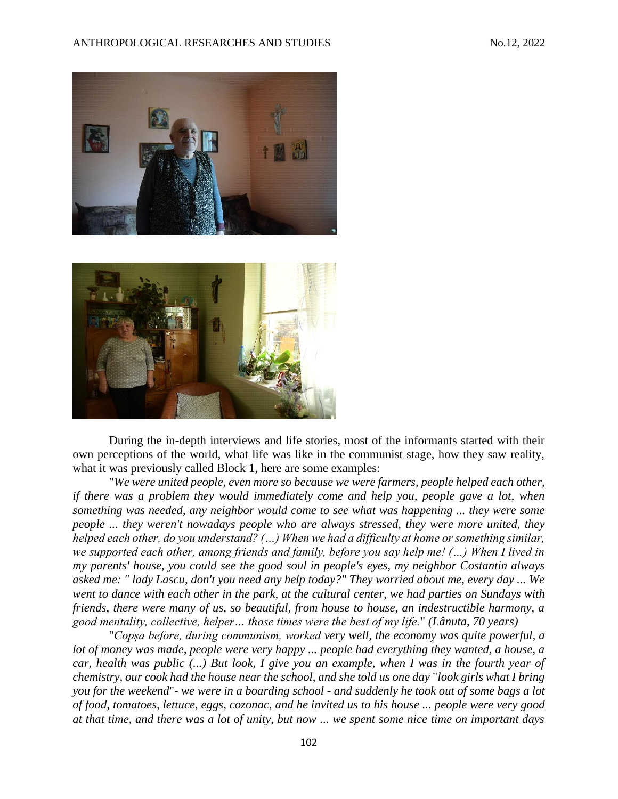



During the in-depth interviews and life stories, most of the informants started with their own perceptions of the world, what life was like in the communist stage, how they saw reality, what it was previously called Block 1, here are some examples:

"*We were united people, even more so because we were farmers, people helped each other, if there was a problem they would immediately come and help you, people gave a lot, when something was needed, any neighbor would come to see what was happening ... they were some people ... they weren't nowadays people who are always stressed, they were more united, they helped each other, do you understand? (…) When we had a difficulty at home or something similar, we supported each other, among friends and family, before you say help me! (…) When I lived in my parents' house, you could see the good soul in people's eyes, my neighbor Costantin always asked me: " lady Lascu, don't you need any help today?" They worried about me, every day ... We went to dance with each other in the park, at the cultural center, we had parties on Sundays with friends, there were many of us, so beautiful, from house to house, an indestructible harmony, a good mentality, collective, helper… those times were the best of my life.*" *(Lânuta, 70 years)*

"*Copșa before, during communism, worked very well, the economy was quite powerful, a lot of money was made, people were very happy ... people had everything they wanted, a house, a car, health was public (...) But look, I give you an example, when I was in the fourth year of chemistry, our cook had the house near the school, and she told us one day* "*look girls what I bring you for the weekend*"*- we were in a boarding school - and suddenly he took out of some bags a lot of food, tomatoes, lettuce, eggs, cozonac, and he invited us to his house ... people were very good at that time, and there was a lot of unity, but now ... we spent some nice time on important days*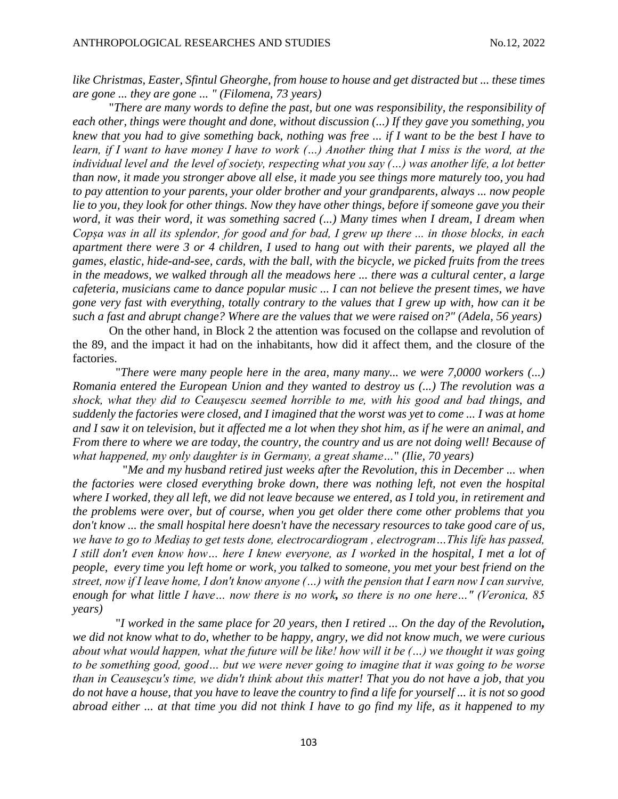*like Christmas, Easter, Sfintul Gheorghe, from house to house and get distracted but ... these times are gone ... they are gone ... " (Filomena, 73 years)*

"*There are many words to define the past, but one was responsibility, the responsibility of each other, things were thought and done, without discussion (...) If they gave you something, you knew that you had to give something back, nothing was free ... if I want to be the best I have to learn, if I want to have money I have to work (…) Another thing that I miss is the word, at the individual level and the level of society, respecting what you say (…) was another life, a lot better than now, it made you stronger above all else, it made you see things more maturely too, you had to pay attention to your parents, your older brother and your grandparents, always ... now people lie to you, they look for other things. Now they have other things, before if someone gave you their word, it was their word, it was something sacred (...) Many times when I dream, I dream when Copșa was in all its splendor, for good and for bad, I grew up there ... in those blocks, in each apartment there were 3 or 4 children, I used to hang out with their parents, we played all the games, elastic, hide-and-see, cards, with the ball, with the bicycle, we picked fruits from the trees in the meadows, we walked through all the meadows here ... there was a cultural center, a large cafeteria, musicians came to dance popular music ... I can not believe the present times, we have gone very fast with everything, totally contrary to the values that I grew up with, how can it be such a fast and abrupt change? Where are the values that we were raised on?" (Adela, 56 years)*

On the other hand, in Block 2 the attention was focused on the collapse and revolution of the 89, and the impact it had on the inhabitants, how did it affect them, and the closure of the factories.

"*There were many people here in the area, many many... we were 7,0000 workers (...) Romania entered the European Union and they wanted to destroy us (...) The revolution was a shock, what they did to Ceauşescu seemed horrible to me, with his good and bad things, and suddenly the factories were closed, and I imagined that the worst was yet to come ... I was at home and I saw it on television, but it affected me a lot when they shot him, as if he were an animal, and From there to where we are today, the country, the country and us are not doing well! Because of what happened, my only daughter is in Germany, a great shame…*" *(Ilie, 70 years)*

"*Me and my husband retired just weeks after the Revolution, this in December ... when the factories were closed everything broke down, there was nothing left, not even the hospital where I worked, they all left, we did not leave because we entered, as I told you, in retirement and the problems were over, but of course, when you get older there come other problems that you don't know ... the small hospital here doesn't have the necessary resources to take good care of us, we have to go to Mediaș to get tests done, electrocardiogram , electrogram…This life has passed, I still don't even know how... here I knew everyone, as I worked in the hospital, I met a lot of people, every time you left home or work, you talked to someone, you met your best friend on the street, now if I leave home, I don't know anyone (…) with the pension that I earn now I can survive, enough for what little I have… now there is no work, so there is no one here…" (Veronica, 85 years)*

"*I worked in the same place for 20 years, then I retired ... On the day of the Revolution, we did not know what to do, whether to be happy, angry, we did not know much, we were curious about what would happen, what the future will be like! how will it be (…) we thought it was going to be something good, good… but we were never going to imagine that it was going to be worse than in Ceauseşcu's time, we didn't think about this matter! That you do not have a job, that you do not have a house, that you have to leave the country to find a life for yourself ... it is not so good abroad either ... at that time you did not think I have to go find my life, as it happened to my*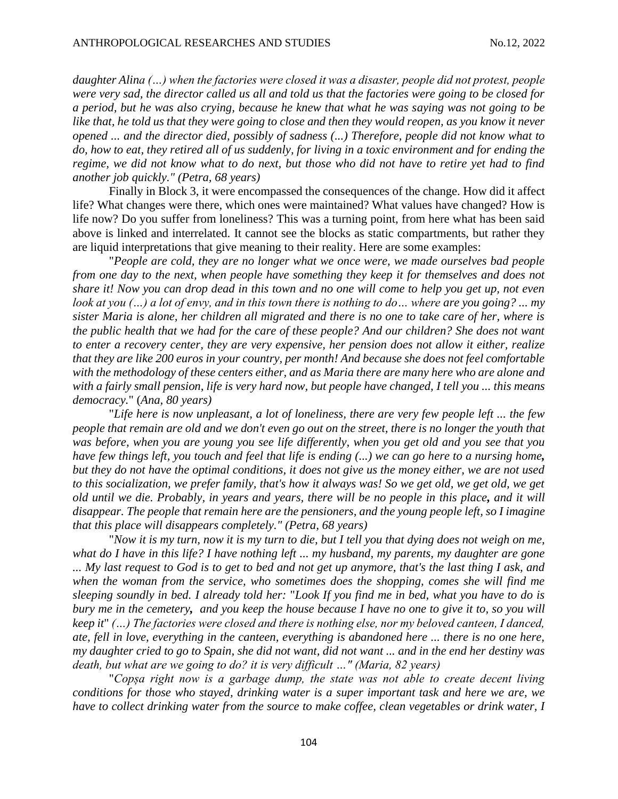*daughter Alina (…) when the factories were closed it was a disaster, people did not protest, people were very sad, the director called us all and told us that the factories were going to be closed for a period, but he was also crying, because he knew that what he was saying was not going to be*  like that, he told us that they were going to close and then they would reopen, as you know it never *opened ... and the director died, possibly of sadness (...) Therefore, people did not know what to do, how to eat, they retired all of us suddenly, for living in a toxic environment and for ending the regime, we did not know what to do next, but those who did not have to retire yet had to find another job quickly." (Petra, 68 years)*

Finally in Block 3, it were encompassed the consequences of the change. How did it affect life? What changes were there, which ones were maintained? What values have changed? How is life now? Do you suffer from loneliness? This was a turning point, from here what has been said above is linked and interrelated. It cannot see the blocks as static compartments, but rather they are liquid interpretations that give meaning to their reality. Here are some examples:

"*People are cold, they are no longer what we once were, we made ourselves bad people from one day to the next, when people have something they keep it for themselves and does not share it! Now you can drop dead in this town and no one will come to help you get up, not even look at you (…) a lot of envy, and in this town there is nothing to do… where are you going? ... my sister Maria is alone, her children all migrated and there is no one to take care of her, where is the public health that we had for the care of these people? And our children? She does not want to enter a recovery center, they are very expensive, her pension does not allow it either, realize that they are like 200 euros in your country, per month! And because she does not feel comfortable with the methodology of these centers either, and as Maria there are many here who are alone and with a fairly small pension, life is very hard now, but people have changed, I tell you ... this means democracy.*" (*Ana, 80 years)*

"*Life here is now unpleasant, a lot of loneliness, there are very few people left ... the few people that remain are old and we don't even go out on the street, there is no longer the youth that was before, when you are young you see life differently, when you get old and you see that you have few things left, you touch and feel that life is ending (...) we can go here to a nursing home, but they do not have the optimal conditions, it does not give us the money either, we are not used to this socialization, we prefer family, that's how it always was! So we get old, we get old, we get old until we die. Probably, in years and years, there will be no people in this place, and it will disappear. The people that remain here are the pensioners, and the young people left, so I imagine that this place will disappears completely." (Petra, 68 years)*

"*Now it is my turn, now it is my turn to die, but I tell you that dying does not weigh on me, what do I have in this life? I have nothing left ... my husband, my parents, my daughter are gone ... My last request to God is to get to bed and not get up anymore, that's the last thing I ask, and when the woman from the service, who sometimes does the shopping, comes she will find me sleeping soundly in bed. I already told her:* "*Look If you find me in bed, what you have to do is bury me in the cemetery, and you keep the house because I have no one to give it to, so you will keep it*" *(…) The factories were closed and there is nothing else, nor my beloved canteen, I danced, ate, fell in love, everything in the canteen, everything is abandoned here ... there is no one here, my daughter cried to go to Spain, she did not want, did not want ... and in the end her destiny was death, but what are we going to do? it is very difficult …" (Maria, 82 years)*

"*Copșa right now is a garbage dump, the state was not able to create decent living conditions for those who stayed, drinking water is a super important task and here we are, we have to collect drinking water from the source to make coffee, clean vegetables or drink water, I*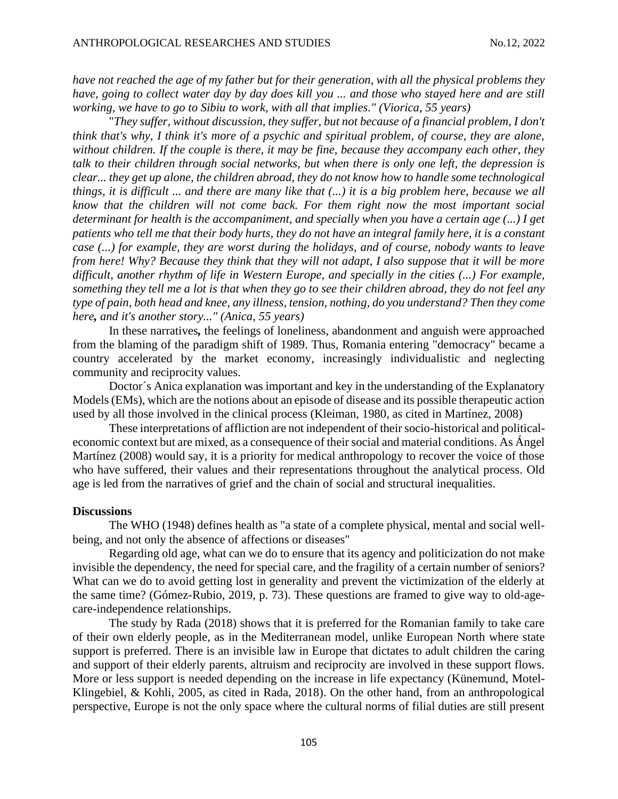*have not reached the age of my father but for their generation, with all the physical problems they have, going to collect water day by day does kill you ... and those who stayed here and are still working, we have to go to Sibiu to work, with all that implies." (Viorica, 55 years)*

"*They suffer, without discussion, they suffer, but not because of a financial problem, I don't think that's why, I think it's more of a psychic and spiritual problem, of course, they are alone, without children. If the couple is there, it may be fine, because they accompany each other, they talk to their children through social networks, but when there is only one left, the depression is clear... they get up alone, the children abroad, they do not know how to handle some technological things, it is difficult ... and there are many like that (...) it is a big problem here, because we all know that the children will not come back. For them right now the most important social determinant for health is the accompaniment, and specially when you have a certain age (...) I get patients who tell me that their body hurts, they do not have an integral family here, it is a constant case (...) for example, they are worst during the holidays, and of course, nobody wants to leave from here! Why? Because they think that they will not adapt, I also suppose that it will be more difficult, another rhythm of life in Western Europe, and specially in the cities (...) For example, something they tell me a lot is that when they go to see their children abroad, they do not feel any type of pain, both head and knee, any illness, tension, nothing, do you understand? Then they come here, and it's another story..." (Anica, 55 years)*

In these narratives*,* the feelings of loneliness, abandonment and anguish were approached from the blaming of the paradigm shift of 1989. Thus, Romania entering "democracy" became a country accelerated by the market economy, increasingly individualistic and neglecting community and reciprocity values.

Doctor´s Anica explanation was important and key in the understanding of the Explanatory Models (EMs), which are the notions about an episode of disease and its possible therapeutic action used by all those involved in the clinical process (Kleiman, 1980, as cited in Martínez, 2008)

These interpretations of affliction are not independent of their socio-historical and politicaleconomic context but are mixed, as a consequence of their social and material conditions. As Ángel Martínez (2008) would say, it is a priority for medical anthropology to recover the voice of those who have suffered, their values and their representations throughout the analytical process. Old age is led from the narratives of grief and the chain of social and structural inequalities.

#### **Discussions**

The WHO (1948) defines health as "a state of a complete physical, mental and social wellbeing, and not only the absence of affections or diseases"

Regarding old age, what can we do to ensure that its agency and politicization do not make invisible the dependency, the need for special care, and the fragility of a certain number of seniors? What can we do to avoid getting lost in generality and prevent the victimization of the elderly at the same time? (Gómez-Rubio, 2019, p. 73). These questions are framed to give way to old-agecare-independence relationships.

The study by Rada (2018) shows that it is preferred for the Romanian family to take care of their own elderly people, as in the Mediterranean model, unlike European North where state support is preferred. There is an invisible law in Europe that dictates to adult children the caring and support of their elderly parents, altruism and reciprocity are involved in these support flows. More or less support is needed depending on the increase in life expectancy (Künemund, Motel-Klingebiel, & Kohli, 2005, as cited in Rada, 2018). On the other hand, from an anthropological perspective, Europe is not the only space where the cultural norms of filial duties are still present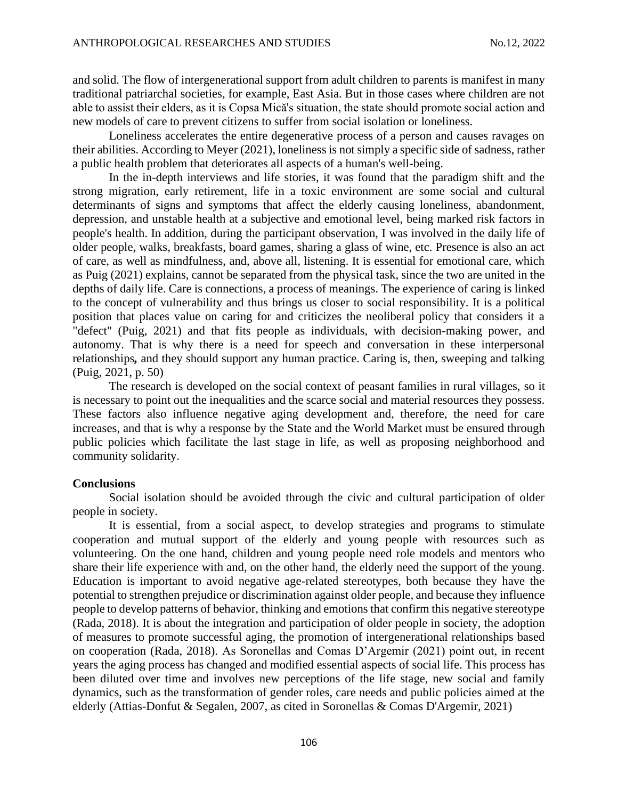and solid. The flow of intergenerational support from adult children to parents is manifest in many traditional patriarchal societies, for example, East Asia. But in those cases where children are not able to assist their elders, as it is Copsa Mică's situation, the state should promote social action and new models of care to prevent citizens to suffer from social isolation or loneliness.

Loneliness accelerates the entire degenerative process of a person and causes ravages on their abilities. According to Meyer (2021), loneliness is not simply a specific side of sadness, rather a public health problem that deteriorates all aspects of a human's well-being.

In the in-depth interviews and life stories, it was found that the paradigm shift and the strong migration, early retirement, life in a toxic environment are some social and cultural determinants of signs and symptoms that affect the elderly causing loneliness, abandonment, depression, and unstable health at a subjective and emotional level, being marked risk factors in people's health. In addition, during the participant observation, I was involved in the daily life of older people, walks, breakfasts, board games, sharing a glass of wine, etc. Presence is also an act of care, as well as mindfulness, and, above all, listening. It is essential for emotional care, which as Puig (2021) explains, cannot be separated from the physical task, since the two are united in the depths of daily life. Care is connections, a process of meanings. The experience of caring is linked to the concept of vulnerability and thus brings us closer to social responsibility. It is a political position that places value on caring for and criticizes the neoliberal policy that considers it a "defect" (Puig, 2021) and that fits people as individuals, with decision-making power, and autonomy. That is why there is a need for speech and conversation in these interpersonal relationships*,* and they should support any human practice. Caring is, then, sweeping and talking (Puig, 2021, p. 50)

The research is developed on the social context of peasant families in rural villages, so it is necessary to point out the inequalities and the scarce social and material resources they possess. These factors also influence negative aging development and, therefore, the need for care increases, and that is why a response by the State and the World Market must be ensured through public policies which facilitate the last stage in life, as well as proposing neighborhood and community solidarity.

#### **Conclusions**

Social isolation should be avoided through the civic and cultural participation of older people in society.

It is essential, from a social aspect, to develop strategies and programs to stimulate cooperation and mutual support of the elderly and young people with resources such as volunteering. On the one hand, children and young people need role models and mentors who share their life experience with and, on the other hand, the elderly need the support of the young. Education is important to avoid negative age-related stereotypes, both because they have the potential to strengthen prejudice or discrimination against older people, and because they influence people to develop patterns of behavior, thinking and emotions that confirm this negative stereotype (Rada, 2018). It is about the integration and participation of older people in society, the adoption of measures to promote successful aging, the promotion of intergenerational relationships based on cooperation (Rada, 2018). As Soronellas and Comas D'Argemir (2021) point out, in recent years the aging process has changed and modified essential aspects of social life. This process has been diluted over time and involves new perceptions of the life stage, new social and family dynamics, such as the transformation of gender roles, care needs and public policies aimed at the elderly (Attias-Donfut & Segalen, 2007, as cited in Soronellas & Comas D'Argemir, 2021)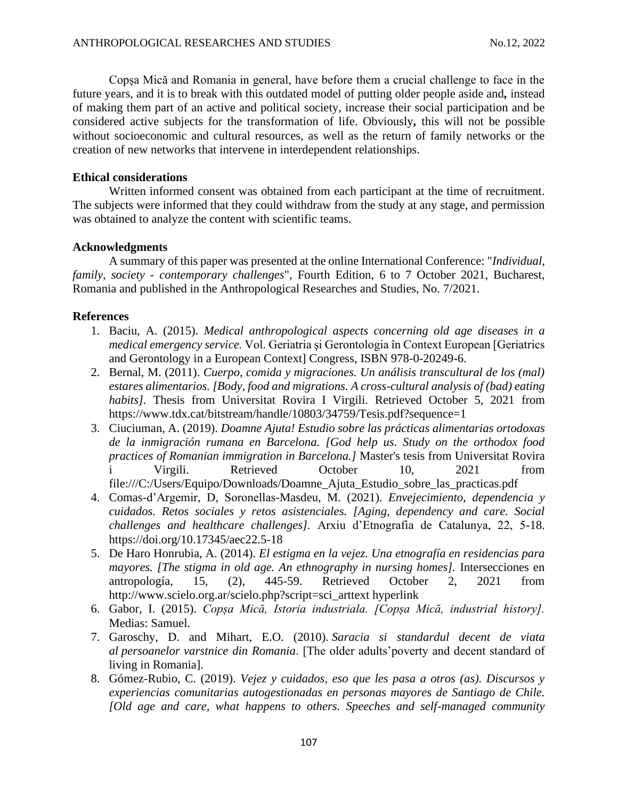Copșa Mică and Romania in general, have before them a crucial challenge to face in the future years, and it is to break with this outdated model of putting older people aside and*,* instead of making them part of an active and political society, increase their social participation and be considered active subjects for the transformation of life. Obviously*,* this will not be possible without socioeconomic and cultural resources, as well as the return of family networks or the creation of new networks that intervene in interdependent relationships.

# **Ethical considerations**

Written informed consent was obtained from each participant at the time of recruitment. The subjects were informed that they could withdraw from the study at any stage, and permission was obtained to analyze the content with scientific teams.

# **Acknowledgments**

A summary of this paper was presented at the online International Conference: "*Individual, family, society - contemporary challenges*", Fourth Edition, 6 to 7 October 2021, Bucharest, Romania and published in the Anthropological Researches and Studies, No. 7/2021.

# **References**

- 1. Baciu, A. (2015). *Medical anthropological aspects concerning old age diseases in a medical emergency service.* Vol. Geriatria şi Gerontologia în Context European [Geriatrics and Gerontology in a European Context] Congress, ISBN 978-0-20249-6.
- 2. Bernal, M. (2011). *Cuerpo, comida y migraciones. Un análisis transcultural de los (mal) estares alimentarios. [Body, food and migrations. A cross-cultural analysis of (bad) eating habits].* Thesis from Universitat Rovira I Virgili. Retrieved October 5, 2021 from <https://www.tdx.cat/bitstream/handle/10803/34759/Tesis.pdf?sequence=1>
- 3. Ciuciuman, A. (2019). *Doamne Ajuta! Estudio sobre las prácticas alimentarias ortodoxas de la inmigración rumana en Barcelona. [God help us. Study on the orthodox food practices of Romanian immigration in Barcelona.]* Master's tesis from Universitat Rovira i Virgili. Retrieved October 10, 2021 from [file:///C:/Users/Equipo/Downloads/Doamne\\_Ajuta\\_Estudio\\_sobre\\_las\\_practicas.pdf](file:///C:/Users/Equipo/Downloads/Doamne_Ajuta_Estudio_sobre_las_practicas.pdf)
- 4. Comas-d'Argemir, D, Soronellas-Masdeu, M. (2021). *Envejecimiento, dependencia y cuidados. Retos sociales y retos asistenciales. [Aging, dependency and care. Social challenges and healthcare challenges].* Arxiu d'Etnografia de Catalunya, 22, 5-18. <https://doi.org/10.17345/aec22.5-18>
- 5. De Haro Honrubia, A. (2014). *El estigma en la vejez. Una etnografía en residencias para mayores. [The stigma in old age. An ethnography in nursing homes].* Intersecciones en antropología, 15, (2), 445-59. Retrieved October 2, 2021 from http://www.scielo.org.ar/scielo.php?script=sci\_arttext hyperlink
- 6. Gabor, I. (2015). *Copșa Mică, Istoria industriala. [Copșa Mică, industrial history].*  Medias: Samuel.
- 7. Garoschy, D. and Mihart, E.O. (2010). *Saracia si standardul decent de viata al persoanelor varstnice din Romania*. [The older adults'poverty and decent standard of living in Romania].
- 8. Gómez-Rubio, C. (2019). *Vejez y cuidados, eso que les pasa a otros (as). Discursos y experiencias comunitarias autogestionadas en personas mayores de Santiago de Chile. [Old age and care, what happens to others. Speeches and self-managed community*